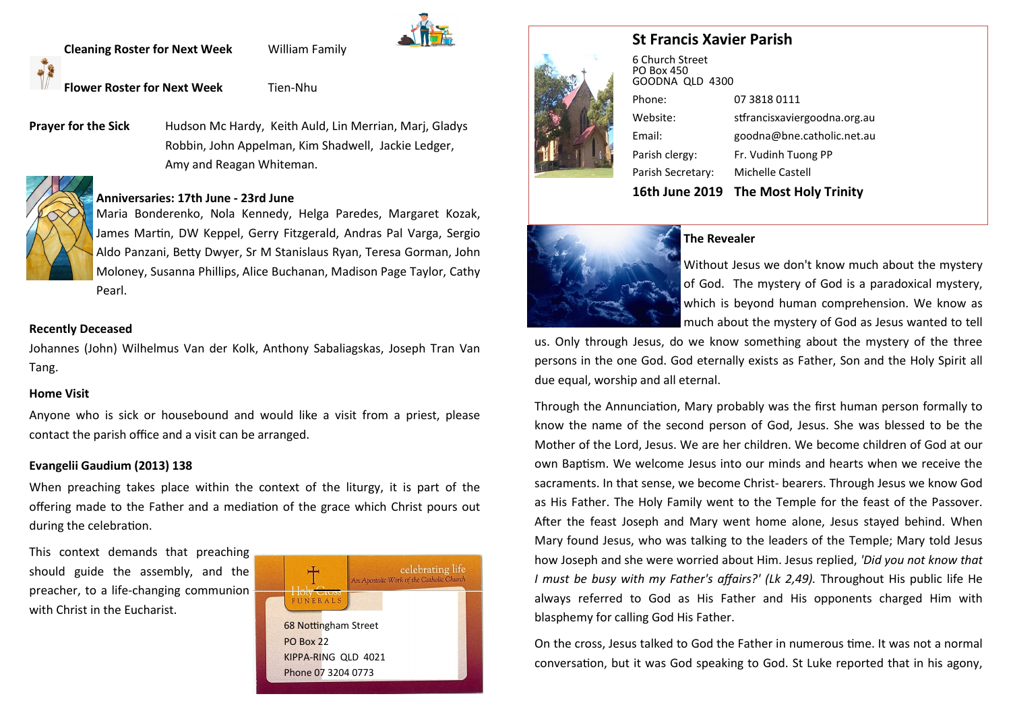**Cleaning Roster for Next Week** William Family

**Flower Roster for Next Week** Tien-Nhu

**Prayer for the Sick** Hudson Mc Hardy, Keith Auld, Lin Merrian, Mari, Gladys Robbin, John Appelman, Kim Shadwell, Jackie Ledger, Amy and Reagan Whiteman.

## **Anniversaries: 17th June - 23rd June**

Maria Bonderenko, Nola Kennedy, Helga Paredes, Margaret Kozak, James Martin, DW Keppel, Gerry Fitzgerald, Andras Pal Varga, Sergio Aldo Panzani, Betty Dwyer, Sr M Stanislaus Ryan, Teresa Gorman, John Moloney, Susanna Phillips, Alice Buchanan, Madison Page Taylor, Cathy Pearl.

## **Recently Deceased**

Johannes (John) Wilhelmus Van der Kolk, Anthony Sabaliagskas, Joseph Tran Van Tang.

## **Home Visit**

Anyone who is sick or housebound and would like a visit from a priest, please contact the parish office and a visit can be arranged.

## **Evangelii Gaudium (2013) 138**

When preaching takes place within the context of the liturgy, it is part of the offering made to the Father and a mediation of the grace which Christ pours out during the celebration.

This context demands that preaching should guide the assembly, and the preacher, to a life-changing communion with Christ in the Eucharist.







| 16th June 2019                                   | The Most Holy Trinity        |
|--------------------------------------------------|------------------------------|
| Parish Secretary:                                | Michelle Castell             |
| Parish clergy:                                   | Fr. Vudinh Tuong PP          |
| Email:                                           | goodna@bne.catholic.net.au   |
| Website:                                         | stfrancisxaviergoodna.org.au |
| Phone:                                           | 07 3818 0111                 |
| 6 Church Street<br>PO Box 450<br>GOODNA QLD 4300 |                              |



# **The Revealer**

Without Jesus we don't know much about the mystery of God. The mystery of God is a paradoxical mystery, which is beyond human comprehension. We know as much about the mystery of God as Jesus wanted to tell

us. Only through Jesus, do we know something about the mystery of the three persons in the one God. God eternally exists as Father, Son and the Holy Spirit all due equal, worship and all eternal.

Through the Annunciation, Mary probably was the first human person formally to know the name of the second person of God, Jesus. She was blessed to be the Mother of the Lord, Jesus. We are her children. We become children of God at our own Baptism. We welcome Jesus into our minds and hearts when we receive the sacraments. In that sense, we become Christ- bearers. Through Jesus we know God as His Father. The Holy Family went to the Temple for the feast of the Passover. After the feast Joseph and Mary went home alone, Jesus stayed behind. When Mary found Jesus, who was talking to the leaders of the Temple; Mary told Jesus how Joseph and she were worried about Him. Jesus replied, *'Did you not know that I must be busy with my Father's affairs?' (Lk 2,49).* Throughout His public life He always referred to God as His Father and His opponents charged Him with blasphemy for calling God His Father.

On the cross, Jesus talked to God the Father in numerous time. It was not a normal conversation, but it was God speaking to God. St Luke reported that in his agony,